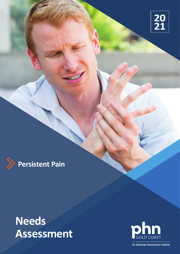



# **Needs Assessment**



An Australian Government Initiative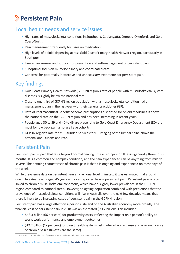## **Persistent Pain**

### Local health needs and service issues

- High rates of musculoskeletal conditions in Southport, Coolangatta, Ormeau-Oxenford, and Gold Coast-North.
- Pain management frequently focusses on medication.
- High levels of opioid dispensing across Gold Coast Primary Health Network region, particularly in Southport.
- Limited awareness and support for prevention and self-management of persistent pain.
- Suboptimal focus on multidisciplinary and coordinated care.
- Concerns for potentially ineffective and unnecessary treatments for persistent pain.

### Key findings

- Gold Coast Primary Health Network (GCPHN) region's rate of people with musculoskeletal system diseases is slightly below the national rate.
- Close to one third of GCPHN region population with a musculoskeletal condition had a management plan in the last year with their general practitioner (GP).
- Rate of Pharmaceutical Benefits Scheme prescriptions dispensed for opioid medicines is above the national rate on the GCPHN region and has been increasing in recent years.
- People aged 30 to 39 and 40 to 49 are presenting to Gold Coast Emergency Department (ED) the most for low back pain among all age cohorts.
- GCPHN region's rate for MBS-funded services for CT imaging of the lumbar spine above the national and Queensland rate.

### Persistent Pain

Persistent pain is pain that lasts beyond normal healing time after injury or illness—generally three to six months. It is a common and complex condition, and the pain experienced can be anything from mild to severe. The defining characteristic of chronic pain is that it is ongoing and experienced on most days of the week.

While prevalence data on persistent pain at a regional level is limited, it was estimated that around one in five Australians aged 45 years and over reported having persistent pain. Persistent pain is often linked to chronic musculoskeletal conditions, which have a slightly lower prevalence in the GCPHN region compared to national rates. However, an ageing population combined with predictions that the prevalence of musculoskeletal conditions will rise in Australia over the next few decades means that there is likely to be increasing cases of persistent pain in the GCPHN region.

Persistent pain has a large effect on a persons' life and on the Australian economy more broadly. The financial cost of persistent pain in 2018 was an estimated \$73.2 billion<sup>1</sup>. This included:

- \$48.3 billion (66 per cent) for productivity costs, reflecting the impact on a person's ability to work, work performance and employment outcomes.
- \$12.2 billion (17 per cent) for direct health system costs (where known cause and unknown cause of chronic pain estimates are the same).

<sup>1</sup> Painaustralia 2019c. The cost of pain in Australia. Canberra: Deloitte Access Economics. 2019.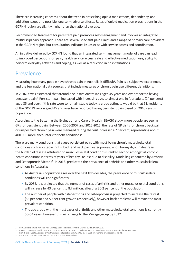There are increasing concerns about the trend in prescribing opioid medications, dependency, and addiction issues and possible long-term adverse effects. Rates of opioid medication prescriptions in the GCPHN region are slightly higher than the national average.

Recommended treatment for persistent pain promotes self-management and involves an integrated multidisciplinary approach. There are several specialist pain clinics and a range of primary care providers in the GCPHN region, but consultation indicates issues exist with service access and coordination.

An initiative delivered by GCPHN found that an integrated self-management model of care can lead to improved perceptions on pain, health service access, safe and effective medication use, ability to perform everyday activities and coping, as well as a reduction in hospitalisations.

### Prevalence

Measuring how many people have chronic pain in Australia is difficult<sup>2</sup>. Pain is a subjective experience, and the few national data sources that include measures of chronic pain use different definitions.

In 2016, it was estimated that around one in five Australians aged 45 years and over reported having persistent pain<sup>3</sup>. Persistent pain increased with increasing age, to almost one in four adults (24 per cent) aged 85 and over. If this rate were to remain stable today, a crude estimate would be that 51, residents of the GCPHN region aged 45 and over have reported having persistent pain based on 2016 census population.

According to the Bettering the Evaluation and Care of Health (BEACH) study, more people are seeing GPs for persistent pain. Between 2006-2007 and 2015-2016, the rate of GP visits for chronic back pain or unspecified chronic pain were managed during the visit increased 67 per cent, representing about 400,000 more encounters for both conditions<sup>4</sup>.

There are many conditions that cause persistent pain, with most being chronic musculoskeletal conditions such as osteoarthritis, back and neck pain, osteoporosis, and fibromyalgia. In Australia, the burden of disease attributed to musculoskeletal conditions is ranked second amongst all chronic health conditions in terms of years of healthy life lost due to disability. Modelling conducted by Arthritis and Osteoporosis Victoria<sup>5</sup> in 2013, predicated the prevalence of arthritis and other musculoskeletal conditions in Australia:

- As Australia's population ages over the next two decades, the prevalence of musculoskeletal conditions will rise significantly.
- By 2032, it is projected that the number of cases of arthritis and other musculoskeletal conditions will increase by 43 per cent to 8.7 million, affecting 30.2 per cent of the population.
- The number of people with osteoarthritis and osteoporosis is projected to increase the fastest (58 per cent and 50 per cent growth respectively), however back problems will remain the most prevalent condition.
- The age group with the most cases of arthritis and other musculoskeletal conditions is currently 55-64 years, however this will change to the 75+ age group by 2032.

<sup>2</sup> Pain Australia 2019b. National Pain Strategy. Canberra: Pain Australia. Viewed 25 November 2019.

<sup>3</sup> ABS 2017. Survey of Health Care, Australia 2016. ABS cat. No. 4343.0. Canberra: ABS. Findings based on AIHW analysis of ABS microdata.

<sup>4</sup> Britt H, et al. (2016) A decade of Australian general practice activity 2006–07 to 2015–16. General practice series no. 41.

<sup>5</sup> Arthritis and Osteoporosis Victoria (2013). A problem worth solving.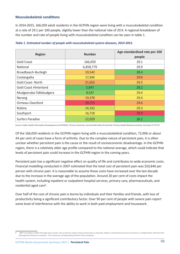#### **Musculoskeletal conditions**

In 2014-2015, 166,059 adult residents in the GCPHN region were living with a musculoskeletal condition at a rate of 29.1 per 100 people, slightly lower than the national rate of 29.9. A regional breakdown of the number and rate of people living with musculoskeletal condition can be seen in table 1.

| <b>Region</b>                | <b>Number</b> | Age-standardised rate per 100<br>people |
|------------------------------|---------------|-----------------------------------------|
| <b>Gold Coast</b>            | 166,059       | 29.1                                    |
| National                     | 6,858,779     | 29.9                                    |
| Broadbeach-Burleigh          | 19,542        | 28.4                                    |
| Coolangatta                  | 17,306        | 29.6                                    |
| <b>Gold Coast-North</b>      | 21,655        | 29.5                                    |
| <b>Gold Coast Hinterland</b> | 5,847         | 28.2                                    |
| Mudgeeraba-Tallebudgera      | 9,537         | 29.4                                    |
| Nerang                       | 19,378        | 29.4                                    |
| Ormeau-Oxenford              | 29,715        | 29.6                                    |
| Robina                       | 14,332        | 29.3                                    |
| Southport                    | 16,718        | 29.9                                    |
| <b>Surfers Paradise</b>      | 12,029        | 28.2                                    |

#### *Table 1. Estimated number of people with musculoskeletal system diseases, 2014-2015.*

Source: Public Health Information Development Unit (PHIDU), Torrens University. Social Health Atlas of Australia: Primary Health Networks (online). Extracted 17-07-19.

Of the 166,059 residents in the GCPHN region living with a musculoskeletal condition, 72,906 or about 44 per cent of cases have a form of arthritis. Due to the complex nature of persistent pain, it is often unclear whether persistent pain is the cause or the result of socioeconomic disadvantage. In the GCPHN region, there is a relatively older age profile compared to the national average, which could indicate that levels of persistent pain could increase in the GCPHN region in the coming years.

Persistent pain has a significant negative effect on quality of life and contributes to wide economic costs. Financial modelling conducted in 2007 estimated that the total cost of persistent pain was \$10,846 per person with chronic pain. It is reasonable to assume these costs have increased over the last decade due to the increase in the average age of the population. Around 20 per cent of costs impact the health system, including inpatient or outpatient hospital services, primary care, pharmaceuticals, and residential aged care<sup>6</sup>.

Over half of the cost of chronic pain is borne by individuals and their families and friends, with loss of productivity being a significant contributory factor. Over 90 per cent of people with severe pain report some level of interference with the ability to work in both paid employment and housework.

MBF Foundation (2007) the high price of pain: the economic impact of persistent pain in Australia. Report conducted by Access Economics in collaboration with the Pain Management Research Institute - The University of Sydney/Royal North Shore Hospital.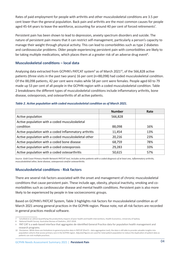Rates of paid employment for people with arthritis and other musculoskeletal conditions are 3.5 per cent lower than the general population. Back pain and arthritis are the most common causes for people aged 45-64 years to leave the workforce, accounting for around 40 per cent of forced retirements<sup>7</sup>.

Persistent pain has been shown to lead to depression, anxiety spectrum disorders and suicide. The nature of persistent pain means that it can restrict self-management, particularly a person's capacity to manage their weight through physical activity. This can lead to comorbidities such as type 2 diabetes and cardiovascular problems. Older people experiencing persistent pain with comorbidities are likely to be taking multiple medications, which places them at a greater risk of an adverse drug event<sup>8</sup>.

#### **Musculoskeletal conditions – local data**

Analysing data extracted from GCPHN's PATCAT system $9$  as of March 2021 $^{10}$ , of the 566,828 active patients (three visits in the past two years) 16 per cent (n=88,098) had coded musculoskeletal condition. Of the 88,098 patients, 42 per cent were males while 58 per cent were females. People aged 60 to 79 made up 53 per cent of all people in the GCPHN region with a coded musculoskeletal condition. Table 2 breakdowns the different types of musculoskeletal conditions include inflammatory arthritis, bone disease, osteoporosis, and osteoarthritis of all active patients.

#### *Table 2. Active population with coded musculoskeletal condition as of March 2021.*

|                                                       | <b>Number</b> | Rate |
|-------------------------------------------------------|---------------|------|
| Active population                                     | 566,828       |      |
| Active population with a coded musculoskeletal        |               |      |
| condition                                             | 88,098        | 16%  |
| Active population with a coded Inflammatory arthritis | 11,454        | 13%  |
| Active population with a coded musculoskeletal other  | 20,216        | 23%  |
| Active population with a coded bone disease           | 68,759        | 78%  |
| Active population with a coded osteoporosis           | 29,283        | 33%  |
| Active population with a coded osteoarthritis         | 50,615        | 57%  |

*Source. Gold Coast Primary Health Network PATCAT tool, Includes active patients with a coded diagnosis of at least one, inflammatory arthritis, musculoskeletal other, bone disease, osteoporosis and/or osteoarthritis.*

#### **Musculoskeletal conditions - Risk factors**

There are several risk factors associated with the onset and management of chronic musculoskeletal conditions that cause persistent pain. These include age, obesity, physical inactivity, smoking and comorbidities such as cardiovascular disease and mental health conditions. Persistent pain is also more likely to be experienced by people in low socioeconomic groups.

Based on GCPHN's PATCAT System, Table 3 highlights risk factors for musculoskeletal condition as of March 2021 among general practices in the GCPHN region. Please note, not all risk factors are recorded in general practices medical software.

<sup>7</sup> Schofield et al. (2012) Quantifying the productivity impacts of poor health and health interventions, Health Economics, University of Sydney.

<sup>8</sup> National Health Survey. Australian Bureau of Statistics, 2017-2018.

<sup>9</sup> PAT CAT is a web-based interface that aggregates de-identified General Practice data for population health management and research programs.

<sup>10</sup> Disclaimer: While there are limitations to general practice data in PATCAT (PenCS – data aggregation tool), the data is still able to provide valuable insights into population cohorts that access primary care in the GCPHN region. Adjusted figures are used for total patient population to reduce the duplication of patient data as patients can visit multiple practices.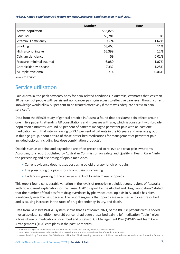#### *Table 3. Active population risk factors for musculoskeletal condition as of March 2021.*

|                           | <b>Number</b> | Rate  |
|---------------------------|---------------|-------|
| Active population         | 566,828       |       |
| Low BMI                   | 59,281        | 10%   |
| Vitamin D deficiency      | 9,274         | 1.62% |
| Smoking                   | 63,465        | 11%   |
| High alcohol intake       | 65,399        | 12%   |
| Calcium deficiency        | 59            | 0.01% |
| Fracture (minimal trauma) | 6,080         | 1.07% |
| Chronic kidney disease    | 7,332         | 1.28% |
| Multiple myeloma          | 314           | 0.06% |

*Source. GCPHN PATCAT*

### Service utilisation

Pain Australia, the peak advocacy body for pain-related conditions in Australia, estimates that less than 10 per cent of people with persistent non-cancer pain gain access to effective care, even though current knowledge would allow 80 per cent to be treated effectively if there was adequate access to pain services<sup>11</sup>.

Data from the BEACH study of general practice in Australia found that persistent pain affects around one in five patients attending GP consultations and increases with age, which is consistent with broader population estimates. Around 86 per cent of patients managed persistent pain with at least one medication, with that rate increasing to 93.4 per cent of patients in the 65 years and over age group. In this age group, about a third of those prescribed medications for management of persistent pain included opioids (including low dose combination products).

Opioids such as codeine and oxycodone are often prescribed to relieve and treat pain symptoms. According to a report published by Australian Commission on Safety and Quality in Health Care<sup>12</sup> into the prescribing and dispensing of opioid medicines:

- Current evidence does not support using opioid therapy for chronic pain.
- The prescribing of opioids for chronic pain is increasing.
- Evidence is growing of the adverse effects of long-term use of opioids.

This report found considerable variation in the levels of prescribing opioids across regions of Australia with no apparent explanation for the cause. A 2016 report by the Alcohol and Drug Foundation<sup>13</sup> stated that the number of fatalities from drug overdoses by pharmaceutical opioids in Australia has risen significantly over the past decade. The report suggests that opioids are overused and overprescribed and is causing increases in the rates of drug dependency, injury, and death.

Data from GCPHN's PATCAT system shows that as of March 2021, of the 88,098 patients with a coded musculoskeletal condition, over 50 per cent had been prescribed pain relief medication. Table 4 gives a breakdown of medications prescribed and uptake of GP Management Plan (GPMP) and Team Care Arrangements (TCA) care plans in the past 12 months.

<sup>11</sup> Pain Australia (2016). Prevalence and the Human and Social Cost of Pain, Pain Australia Fact Sheet 2.

<sup>12</sup> Australian Commission on Safety and Quality in Healthcare, the First Australian Atlas of Healthcare Variation.

<sup>13</sup> Alcohol and Drug Foundation (2016) Is there a pill for that? The increasing harms from opioid and benzodiazepine medication, Prevention Research.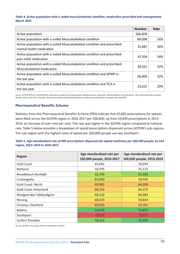#### *Table 4. Active population with a coded musculoskeletal condition, medication prescribed and management, March 2021.*

|                                                                                                       | <b>Number</b> | Rate |
|-------------------------------------------------------------------------------------------------------|---------------|------|
| Active population                                                                                     | 566,828       |      |
| Active population with a coded Musculoskeletal condition                                              | 88,098        | 16%  |
| Active population with a coded Musculoskeletal condition and prescribed<br>mental health medication   | 31,887        | 36%  |
| Active population with a coded Musculoskeletal condition and prescribed<br>pain relief medication     | 47,204        | 54%  |
| Active population with a coded Musculoskeletal condition and prescribed<br>Musculoskeletal medication | 28,561        | 32%  |
| Active population with a coded Musculoskeletal condition and GPMP in<br>the last year                 | 28,409        | 32%  |
| Active population with a coded Musculoskeletal condition and TCA in<br>the last year                  | 25,631        | 29%  |

*Source. GCPHN PATCAT, mental health medication includes and Antipsychotic, Antidepressants, Anxiolytic, Mood Stabilisers and Stimulants. Pain relief medication includes NSAIDs, COX 2, Narcotics / Opioids, Paracetamol. Musculoskeletal medication includes Gout preparations, Osteoporosis, DMARDS.*

#### **Pharmaceutical Benefits Scheme**

Statistics from the Pharmaceutical Benefits Scheme (PBS) indicate that 65,681 prescriptions for opioids were filled across the GCPHN region in 2016-2017 per 100,000, up from 59,939 prescriptions in 2013- 2014, an increase of over nine per cent. The rate was higher in the GCPHN region compared to national rate. Table 5 below provides a breakdown of opioid prescriptions dispensed across GCPHN's sub-regions. The sub-region with the highest rates of opioid per 100,000 people use was Southport.

| Table 5. Age-standardised rate of PBS prescriptions dispensed for opioid medicines per 100,000 people, by SA3 |  |
|---------------------------------------------------------------------------------------------------------------|--|
| region, 2013-2014 to 2016-2017.                                                                               |  |

| <b>Region</b>                | Age-standardised rate per<br>100,000 people, 2016-2017 | Age-standardised rate per<br>100,000 people, 2013-2014 |
|------------------------------|--------------------------------------------------------|--------------------------------------------------------|
| <b>Gold Coast</b>            | 65,681                                                 | 59,939                                                 |
| <b>National</b>              | 58,595                                                 | 55,123                                                 |
| Broadbeach-Burleigh          | 61,740                                                 | 55,050                                                 |
| Coolangatta                  | 64,090                                                 | 59,592                                                 |
| <b>Gold Coast-North</b>      | 69,981                                                 | 64,000                                                 |
| <b>Gold Coast Hinterland</b> | 68,729                                                 | 60,279                                                 |
| Mudgeeraba-Tallebudgera      | 66,132                                                 | 60,082                                                 |
| Nerang                       | 68,019                                                 | 59,844                                                 |
| Ormeau-Oxenford              | 69,950                                                 | 62,761                                                 |
| Robina                       | 54,078                                                 | 51,875                                                 |
| Southport                    | 77,673                                                 | 73,571                                                 |
| <b>Surfers Paradise</b>      | 58,214                                                 | 52,337                                                 |

Source: ACSQHC, Australian Atlas of Healthcare Variation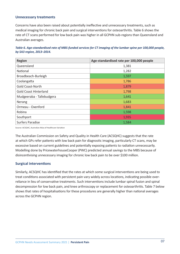#### **Unnecessary treatments**

Concerns have also been raised about potentially ineffective and unnecessary treatments, such as medical imaging for chronic back pain and surgical interventions for osteoarthritis. Table 6 shows the rate of CT scans performed for low back pain was higher in all GCPHN sub-regions than Queensland and Australian averages.

| Table 6. Age-standardised rate of MBS-funded services for CT imaging of the lumbar spine per 100,000 people, |  |
|--------------------------------------------------------------------------------------------------------------|--|
| by SA3 region, 2013-2014.                                                                                    |  |

| <b>Region</b>                | Age-standardised rate per 100,000 people |
|------------------------------|------------------------------------------|
| Queensland                   | 1,381                                    |
| National                     | 1,282                                    |
| Broadbeach-Burleigh          | 1,597                                    |
| Coolangatta                  | 1,786                                    |
| <b>Gold Coast-North</b>      | 1,879                                    |
| <b>Gold Coast Hinterland</b> | 1,798                                    |
| Mudgeeraba - Tallebudgera    | 1,641                                    |
| Nerang                       | 1,683                                    |
| Ormeau - Oxenford            | 1,841                                    |
| Robina                       | 1,598                                    |
| Southport                    | 1,935                                    |
| <b>Surfers Paradise</b>      | 1,584                                    |

Source: ACSQHC, Australian Atlas of Healthcare Variation

The Australian Commission on Safety and Quality in Health Care (ACSQHC) suggests that the rate at which GPs refer patients with low back pain for diagnostic imaging, particularly CT scans, may be excessive based on current guidelines and potentially exposing patients to radiation unnecessarily. Modelling done by PricewaterhouseCooper (PWC) predicted annual savings to the MBS because of disincentivising unnecessary imaging for chronic low back pain to be over \$100 million.

#### **Surgical interventions**

Similarly, ACSQHC has identified that the rates at which some surgical interventions are being used to treat conditions associated with persistent pain vary widely across locations, indicating possible overreliance in lieu of conservative treatments. Such interventions include lumbar spinal fusion and spinal decompression for low back pain, and knee arthroscopy or replacement for osteoarthritis. Table 7 below shows that rates of hospitalisations for these procedures are generally higher than national averages across the GCPHN region.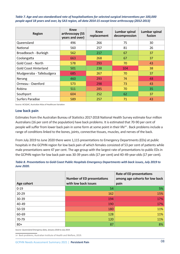*Table 7. Age and sex-standardised rate of hospitalisations for selected surgical interventions per 100,000 people aged 18 years and over, by SA3 region, all data 2014-15 except knee arthroscopy (2012-2013)*

| <b>Region</b>                | <b>Knee</b><br>arthroscopy (55<br>years and over) | <b>Knee</b><br>replacement | Lumbar spinal<br>decompression | <b>Lumbar spinal</b><br>fusion |
|------------------------------|---------------------------------------------------|----------------------------|--------------------------------|--------------------------------|
| Queensland                   | 496                                               | 266                        | 75                             | 30                             |
| National                     | 560                                               | 257                        | 81                             | 26                             |
| Broadbeach - Burleigh        | 562                                               | 217                        | 67                             | 37                             |
| Coolangatta                  | 663                                               | 268                        | 67                             | 37                             |
| <b>Gold Coast - North</b>    | 578                                               | 293                        | 70                             | 43                             |
| <b>Gold Coast Hinterland</b> | 501                                               | 238                        | 104                            | 38                             |
| Mudgeeraba - Tallebudgera    | 685                                               | 267                        | 70                             | 37                             |
| Nerang                       | 460                                               | 293                        | 74                             | 48                             |
| Ormeau - Oxenford            | 573                                               | 298                        | 73                             | 43                             |
| Robina                       | 511                                               | 285                        | 70                             | 35                             |
| Southport                    | 604                                               | 252                        | 62                             | 37                             |
| <b>Surfers Paradise</b>      | 589                                               | 257                        | 71                             | 43                             |

Source: ACSQHC, Australian Atlas of Healthcare Variation

#### **Low back pain**

Estimates from the Australian Bureau of Statistics 2017-2018 National Health Survey estimate four million Australians (16 per cent of the population) have back problems. It is estimated that 70-90 per cent of people will suffer from lower back pain in some form at some point in their life<sup>14</sup>. Back problems include a range of conditions linked to the bones, joints, connective tissues, muscles, and nerves of the back.

From July 2019 to June 2020 there were 1,115 presentations to Emergency Departments (EDs) at public hospitals in the GCPHN region for low back pain of which females consisted of 53 per cent of patients while male presentations were 47 per cent. The age group with the largest rate of presentations to public EDs in the GCPHN region for low back pain was 30-39 years olds (17 per cent) and 40-49-year-olds (17 per cent).

| Table 8. Presentations to Gold Coast Public Hospitals Emergency Departments with back issues, July 2019 to |  |
|------------------------------------------------------------------------------------------------------------|--|
| <b>June 2020.</b>                                                                                          |  |

| Age cohort | <b>Number of ED presentations</b><br>with low back issues | <b>Rate of ED presentations</b><br>among age cohorts for low back<br>pain |
|------------|-----------------------------------------------------------|---------------------------------------------------------------------------|
| $0 - 19$   | 54                                                        | 5%                                                                        |
| $20 - 29$  | 162                                                       | 15%                                                                       |
| $30 - 39$  | 194                                                       | 17%                                                                       |
| 40-49      | 190                                                       | 17%                                                                       |
| 50-59      | 180                                                       | 11%                                                                       |
| 60-69      | 128                                                       | 11%                                                                       |
| 70-79      | 120                                                       | 11%                                                                       |
| $80+$      | 87                                                        | 8%                                                                        |

*Source: Queensland Emergency data, January 2018 to July 2019.*

14 Back problems, Australian Institute of Health and Welfare, 2019.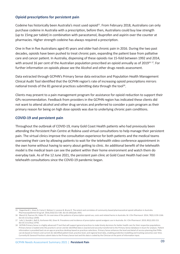#### **Opioid prescriptions for persistent pain**

Codeine has historically been Australia's most used opioid<sup>15</sup>. From February 2018, Australians can only purchase codeine in Australia with a prescription, before then, Australians could buy low strength (up to 15mg per tablet) in combination with paracetamol, ibuprofen and aspirin over the counter at pharmacies. Higher strength codeine has always required a prescription.

One in five in five Australians aged 45 years and older had chronic pain in 2016. During the two past decades, opioids have been pushed to treat chronic pain, expanding the patient base from palliative care and cancer patient. In Australia, dispensing of these opioids rise 15-fold between 1992 and 2014, with around 16 per cent of the Australian population prescribed an opioid annually as of 2019<sup>16 17</sup>. For further information on opioids please see the Alcohol and other drugs needs assessment.

Data extracted through GCPHN's Primary Sense data extraction and Population Health Management Clinical Audit Tool identified that the GCPHN region's rate of increasing opioid prescriptions mirrors national trends of the 81 general practices submitting data through the tool<sup>18</sup>.

Clients may present to a pain management program for assistance for opioid reduction to support their GPs recommendation. Feedback from providers in the GCPHN region has indicated these clients did not want to attend alcohol and other drug services and preferred to consider a pain program as their primary reason for being on high dose opioids was due to underlying chronic pain conditions.

#### **COVID-19 and persistent pain**

Throughout the outbreak of COVID-19, many Gold Coast Health patients who had previously been attending the Persistent Pain Centre at Robina used virtual consultations to help manage their persistent pain. The virtual clinics improve the consultation experience for both patients and the medical teams overseeing their care by allowing patients to wait for the telehealth video conference appointment in the own home without having to worry about getting to clinic. An additional benefit of the telehealth model is the medical team can see the patient within their home environment and watch them do everyday task. As of the 12 June 2021, the persistent pain clinic at Gold Coast Health had over 700 telehealth consultations since the COVID-19 pandemic began.

<sup>15</sup> Degenhardt L, Gisev N, Cama E, Nielsen S, Larance B, Bruno R. The extent and correlates of community-based pharmaceutical opioid utilisation in Australia. Pharmacoepidemiol Drug Saf. 2016;25(5):521-538. doi:10.1002/pds.3931.

<sup>16</sup> Blanch B, Pearson SA, Haber PS. An overview of the patterns of prescription opioid use, costs and related harms in Australia. Br J Clin Pharmacol. 2014; 78(5):1159-1166. doi:10.1111/bcp.12446.

<sup>17</sup> Lalic S, Ilomäki J, Bell JS, Korhonen MJ, Gisev N. Prevalence and incidence of prescription opioid analgesic use in Australia. Br J Clin Pharmacol. 2019; 85(1):202-215. doi:10.1111/bcp.13792.

<sup>18</sup> GCPHN Primary Sense is a highly advanced IT tool that will support general practices to make timely decisions for better health care for their respective populations. Primary Sense is loaded onto the practice's server and de-identified data is exacted and securely transferred to the Primary Sense database in Azure for analysis. Patient information is provided back via an app on practices desktop based on practices selections. Primary Sense enhances the level and detail of service planning that PHNs can do based on historic and current de-identified patient level, practice level, and regional level data, enabling predictive modelling and tracking outcomes over time. Currently 81 General Practices submit data to the Primary Sense tool and this data is coded by the Clinician at the point of information input.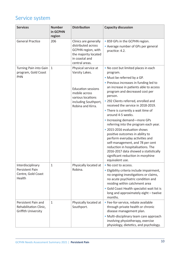### Service system

| <b>Services</b>                                                             | <b>Number</b><br>in GCPHN<br>region | <b>Distribution</b>                                                                                                                                   | <b>Capacity discussion</b>                                                                                                                                                                                                                                                                                                                                                                                                                                                                                                                                                                                                                                                                        |
|-----------------------------------------------------------------------------|-------------------------------------|-------------------------------------------------------------------------------------------------------------------------------------------------------|---------------------------------------------------------------------------------------------------------------------------------------------------------------------------------------------------------------------------------------------------------------------------------------------------------------------------------------------------------------------------------------------------------------------------------------------------------------------------------------------------------------------------------------------------------------------------------------------------------------------------------------------------------------------------------------------------|
| <b>General Practice</b>                                                     | 206                                 | Clinics are generally<br>distributed across<br>GCPHN region, with<br>the majority located<br>in coastal and<br>central areas.                         | • 859 GPs in the GCPHN region.<br>• Average number of GPs per general<br>practice: 4.2.                                                                                                                                                                                                                                                                                                                                                                                                                                                                                                                                                                                                           |
| Turning Pain into Gain<br>program, Gold Coast<br><b>PHN</b>                 | 1                                   | Physical service at<br>Varsity Lakes.<br><b>Education sessions</b><br>mobile across<br>various locations<br>including Southport,<br>Robina and Kirra. | . No cost but limited places in each<br>program.<br>• Must be referred by a GP.<br>• Previous increases in funding led to<br>an increase in patients able to access<br>program and decreased cost per<br>person.<br>• 292 Clients referred, enrolled and<br>received the service in 2018-2019.<br>• There is currently a wait time of<br>around 4-5 weeks.<br>• Increasing demand-more GPs<br>referring into the program each year.<br>• 2015-2016 evaluation shows<br>positive outcomes in ability to<br>perform everyday activities and<br>self-management, and 78 per cent<br>reduction in hospitalisations. The<br>2016-2017 data showed a statistically<br>significant reduction in morphine |
| Interdisciplinary<br>Persistent Pain<br>Centre, Gold Coast<br>Health        | 1                                   | Physically located at<br>Robina.                                                                                                                      | equivalent use.<br>• No cost to access.<br>· Eligibility criteria include impairment,<br>no ongoing investigations or claims,<br>no acute psychiatric condition and<br>residing within catchment area<br>• Gold Coast Health specialist wait list is<br>long and approximately eight - twelve<br>months.                                                                                                                                                                                                                                                                                                                                                                                          |
| Persistent Pain and<br>Rehabilitation Clinic,<br><b>Griffith University</b> | 1                                   | Physically located at<br>Southport.                                                                                                                   | · Fee-for-service, rebate available<br>through private health or chronic<br>disease management plan.<br>· Multi-disciplinary team care approach<br>involving physiotherapy, exercise<br>physiology, dietetics, and psychology.                                                                                                                                                                                                                                                                                                                                                                                                                                                                    |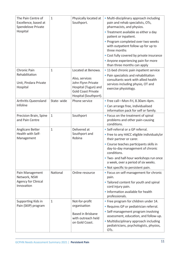| The Pain Centre of<br>Excellence, based at<br>Spendelove Private<br>Hospital | $\mathbf{1}$ | Physically located at<br>Southport.                                                                                                      | • Multi-disciplinary approach including<br>pain and rehab specialists, OTs,<br>pharmacists, and physios.<br>• Treatment available as either a day<br>patient or inpatient.<br>• Program completed over two weeks<br>with outpatient follow up for up to<br>three months<br>• Cost fully covered by private insurance<br>• Anyone experiencing pain for more |
|------------------------------------------------------------------------------|--------------|------------------------------------------------------------------------------------------------------------------------------------------|-------------------------------------------------------------------------------------------------------------------------------------------------------------------------------------------------------------------------------------------------------------------------------------------------------------------------------------------------------------|
|                                                                              |              |                                                                                                                                          | than three months can apply                                                                                                                                                                                                                                                                                                                                 |
| Chronic Pain<br>Rehabilitation<br>Unit, Pindara Private<br>Hospital          | 1            | Located at Benowa.<br>Also, services<br>John Flynn Private<br>Hospital (Tugun) and<br><b>Gold Coast Private</b><br>Hospital (Southport). | • 11-bed chronic pain inpatient service<br>• Pain specialists and rehabilitation<br>consultants work with allied health<br>services including physio, OT and<br>exercise physiology.                                                                                                                                                                        |
| Arthritis Queensland<br>Infoline                                             | State-wide   | Phone service                                                                                                                            | • Free call-Mon-Fri, 8.30am-4pm.<br>• Can arrange free, individualised<br>information pack for self or family.                                                                                                                                                                                                                                              |
| Precision Brain, Spine<br>and Pain Centre                                    | 1            | Southport                                                                                                                                | • Focus on the treatment of spinal<br>problems and other pain-causing<br>conditions.                                                                                                                                                                                                                                                                        |
| Anglicare Better<br>Health with Self-<br>Management                          | 1            | Delivered at<br>Southport and<br>Robina                                                                                                  | • Self-referral or a GP referral.<br>• Free to any HACC eligible individuals/or<br>their partner or carer.<br>• Course teaches participants skills in<br>day-to-day management of chronic<br>conditions.<br>. Two- and half-hour workshops run once<br>a week, over a period of six weeks.<br>. Not specific to persistent pain.                            |
| Pain Management<br>Network, NSW<br><b>Agency for Clinical</b><br>Innovation  | National     | Online resource                                                                                                                          | • Focus on self-management for chronic<br>pain.<br>• Tailored content for youth and spinal<br>cord injury pain.<br>. Information available for health<br>professionals.                                                                                                                                                                                     |
| Supporting Kids in<br>Pain (SKIP) program                                    | $\mathbf{1}$ | Not-for-profit<br>organisation<br><b>Based in Brisbane</b><br>with outreach held<br>on Gold Coast.                                       | • Free program for children under 14.<br>• Requires GP or pediatrician referral.<br>• Self-management program involving<br>assessment, education, and follow-up.<br>• Multidisciplinary approach including<br>pediatricians, psychologists, physios,<br>OTs.                                                                                                |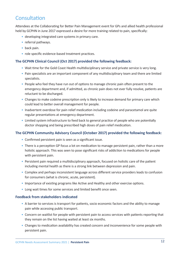### **Consultation**

Attendees at the Collaborating for Better Pain Management event for GPs and allied health professional held by GCPHN in June 2017 expressed a desire for more training related to pain, specifically:

- developing integrated care systems in primary care.
- referral pathways.
- back pain.
- role specific evidence-based treatment practices.

#### **The GCPHN Clinical Council (Oct 2017) provided the following feedback:**

- Wait time for the Gold Coast Health multidisciplinary service and private service is very long.
- Pain specialists are an important component of any multidisciplinary team and there are limited specialists.
- People who feel they have run out of options to manage chronic pain often present to the emergency department and, if admitted, as chronic pain does not ever fully resolve, patients are reluctant to be discharged.
- Changes to make codeine prescription only is likely to increase demand for primary care which could lead to better overall management for people.
- Inadvertent overdose for pain relief medication including codeine and paracetamol are quite regular presentations at emergency department.
- Limited system infrastructure to feed back to general practice of people who are potentially doctor shopping and being prescribed high doses of pain relief medication.

#### **The GCPHN Community Advisory Council (October 2017) provided the following feedback:**

- Confirmed persistent pain is seen as a significant issue.
- There is a perception GP focus a lot on medication to manage persistent pain, rather than a more holistic approach. This was seen to pose significant risks of addiction to medications for people with persistent pain.
- Persistent pain required a multidisciplinary approach, focused on holistic care of the patient including mental health as there is a strong link between depression and pain.
- Complex and perhaps inconsistent language across different service providers leads to confusion for consumers (what is chronic, acute, persistent).
- Importance of existing programs like Active and Healthy and other exercise options.
- Long wait times for some services and limited benefit once seen.

#### **Feedback from stakeholders indicated**

- A barrier to services is transport for patients, socio economic factors and the ability to manage pain while accessing public transport.
- Concern on waitlist for people with persistent pain to access services with patients reporting that they remain on the list having waited at least six months.
- Changes to medication availability has created concern and inconvenience for some people with persistent pain.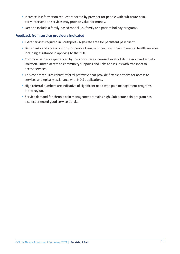- Increase in information request reported by provider for people with sub-acute pain, early intervention services may provide value for money.
- Need to include a family-based model i.e., family and patient holiday programs.

#### **Feedback from service providers indicated**

- Extra services required in Southport high-rate area for persistent pain client.
- Better links and access options for people living with persistent pain to mental health services including assistance in applying to the NDIS.
- Common barriers experienced by this cohort are increased levels of depression and anxiety, isolation, limited access to community supports and links and issues with transport to access services.
- This cohort requires robust referral pathways that provide flexible options for access to services and epically assistance with NDIS applications.
- High referral numbers are indicative of significant need with pain management programs in the region.
- Service demand for chronic pain management remains high. Sub-acute pain program has also experienced good service uptake.